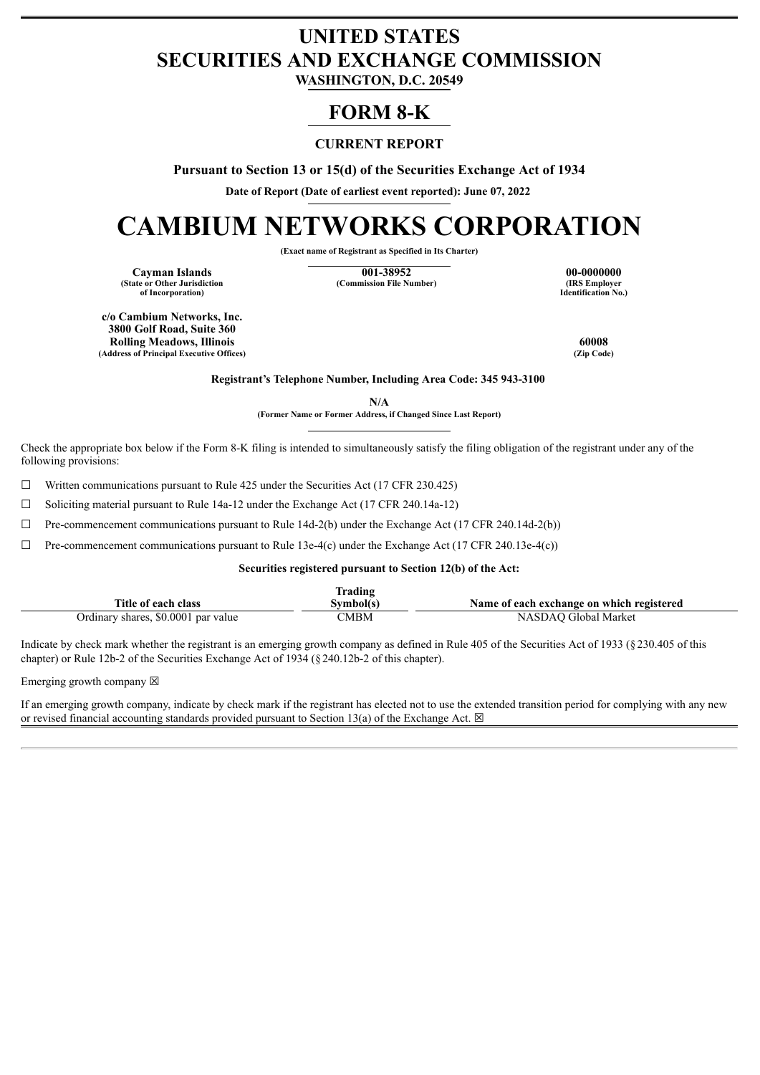## **UNITED STATES SECURITIES AND EXCHANGE COMMISSION**

**WASHINGTON, D.C. 20549**

### **FORM 8-K**

#### **CURRENT REPORT**

**Pursuant to Section 13 or 15(d) of the Securities Exchange Act of 1934**

**Date of Report (Date of earliest event reported): June 07, 2022**

# **CAMBIUM NETWORKS CORPORATION**

**(Exact name of Registrant as Specified in Its Charter)**

**(State or Other Jurisdiction of Incorporation)**

**Cayman Islands**<br> **Commission File Number** (Commission File Number) (IRS Employer<br> **Commission File Number**) (IRS Employer **(Commission File Number)** 

**Identification No.)**

**c/o Cambium Networks, Inc. 3800 Golf Road, Suite 360 Rolling Meadows, Illinois 60008 (Address of Principal Executive Offices)** 

**Registrant's Telephone Number, Including Area Code: 345 943-3100**

**N/A**

**(Former Name or Former Address, if Changed Since Last Report)**

Check the appropriate box below if the Form 8-K filing is intended to simultaneously satisfy the filing obligation of the registrant under any of the following provisions:

☐ Written communications pursuant to Rule 425 under the Securities Act (17 CFR 230.425)

 $\Box$  Soliciting material pursuant to Rule 14a-12 under the Exchange Act (17 CFR 240.14a-12)

 $\Box$  Pre-commencement communications pursuant to Rule 14d-2(b) under the Exchange Act (17 CFR 240.14d-2(b))

 $\Box$  Pre-commencement communications pursuant to Rule 13e-4(c) under the Exchange Act (17 CFR 240.13e-4(c))

#### **Securities registered pursuant to Section 12(b) of the Act:**

|                                     | lrading  |                                           |
|-------------------------------------|----------|-------------------------------------------|
| Title of each class                 | ivmbol(s | Name of each exchange on which registered |
| Ordinary shares, \$0,0001 par value | CMBM     | Global Market<br>NASDAO                   |

Indicate by check mark whether the registrant is an emerging growth company as defined in Rule 405 of the Securities Act of 1933 (§230.405 of this chapter) or Rule 12b-2 of the Securities Exchange Act of 1934 (§240.12b-2 of this chapter).

Emerging growth company  $\boxtimes$ 

If an emerging growth company, indicate by check mark if the registrant has elected not to use the extended transition period for complying with any new or revised financial accounting standards provided pursuant to Section 13(a) of the Exchange Act.  $\boxtimes$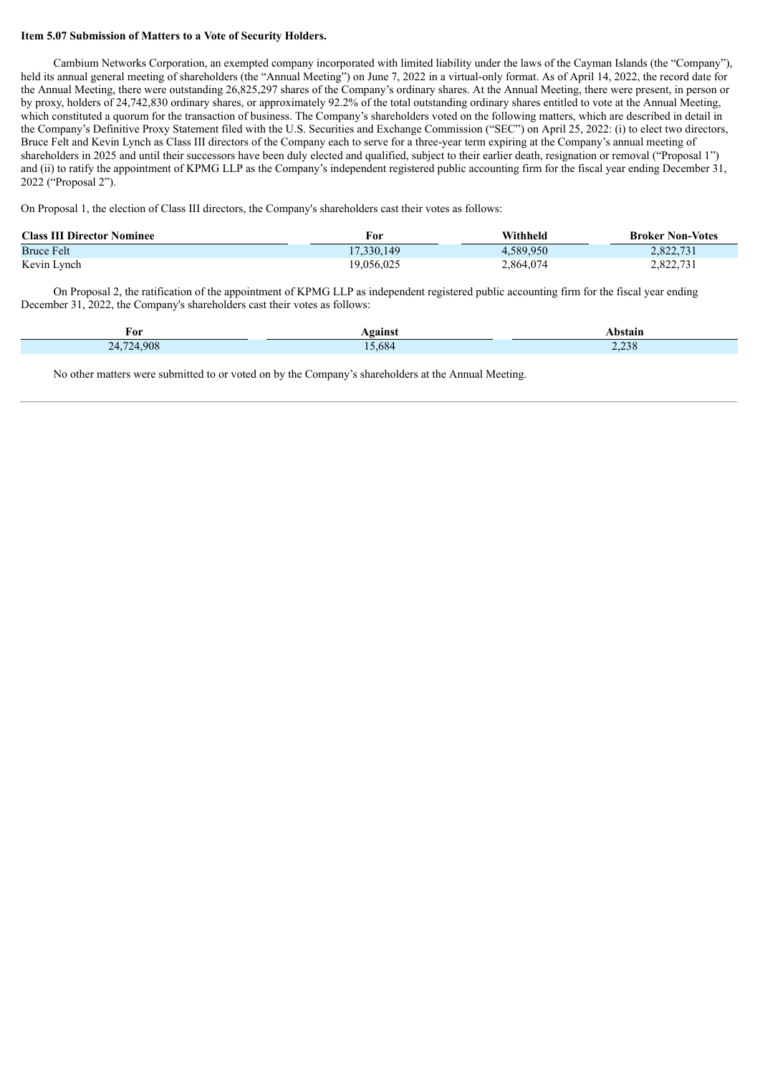#### **Item 5.07 Submission of Matters to a Vote of Security Holders.**

Cambium Networks Corporation, an exempted company incorporated with limited liability under the laws of the Cayman Islands (the "Company"), held its annual general meeting of shareholders (the "Annual Meeting") on June 7, 2022 in a virtual-only format. As of April 14, 2022, the record date for the Annual Meeting, there were outstanding 26,825,297 shares of the Company's ordinary shares. At the Annual Meeting, there were present, in person or by proxy, holders of 24,742,830 ordinary shares, or approximately 92.2% of the total outstanding ordinary shares entitled to vote at the Annual Meeting, which constituted a quorum for the transaction of business. The Company's shareholders voted on the following matters, which are described in detail in the Company's Definitive Proxy Statement filed with the U.S. Securities and Exchange Commission ("SEC") on April 25, 2022: (i) to elect two directors, Bruce Felt and Kevin Lynch as Class III directors of the Company each to serve for a three-year term expiring at the Company's annual meeting of shareholders in 2025 and until their successors have been duly elected and qualified, subject to their earlier death, resignation or removal ("Proposal 1") and (ii) to ratify the appointment of KPMG LLP as the Company's independent registered public accounting firm for the fiscal year ending December 31, 2022 ("Proposal 2").

On Proposal 1, the election of Class III directors, the Company's shareholders cast their votes as follows:

| <b>Class III Director Nominee</b> | For        | Withheld  | <b>Broker Non-Votes</b> |
|-----------------------------------|------------|-----------|-------------------------|
| <b>Bruce Felt</b>                 | 17.330.149 | 4,589,950 | 2.822.731               |
| Kevin Lynch                       | 19,056,025 | 2,864,074 | 2,822,731               |

On Proposal 2, the ratification of the appointment of KPMG LLP as independent registered public accounting firm for the fiscal year ending December 31, 2022, the Company's shareholders cast their votes as follows:

| For                       | Against | <b>\bstain</b> |
|---------------------------|---------|----------------|
| 724.908<br>74<br>$\sim$ 1 | 5,684   | 220<br>2,238   |

No other matters were submitted to or voted on by the Company's shareholders at the Annual Meeting.